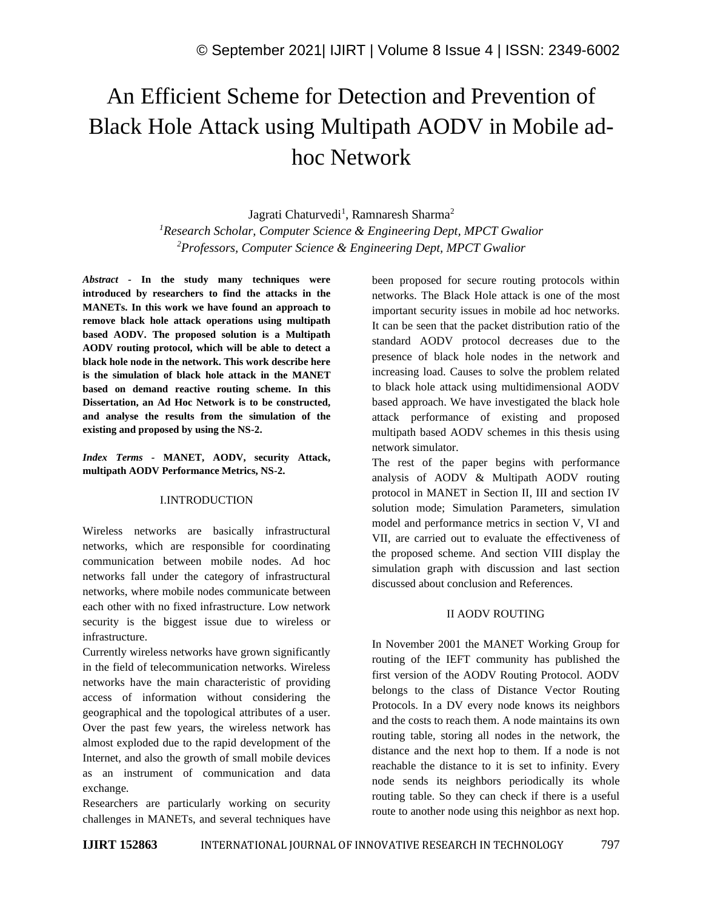# An Efficient Scheme for Detection and Prevention of Black Hole Attack using Multipath AODV in Mobile adhoc Network

Jagrati Chaturvedi<sup>1</sup>, Ramnaresh Sharma<sup>2</sup> *<sup>1</sup>Research Scholar, Computer Science & Engineering Dept, MPCT Gwalior <sup>2</sup>Professors, Computer Science & Engineering Dept, MPCT Gwalior*

*Abstract -* **In the study many techniques were introduced by researchers to find the attacks in the MANETs. In this work we have found an approach to remove black hole attack operations using multipath based AODV. The proposed solution is a Multipath AODV routing protocol, which will be able to detect a black hole node in the network. This work describe here is the simulation of black hole attack in the MANET based on demand reactive routing scheme. In this Dissertation, an Ad Hoc Network is to be constructed, and analyse the results from the simulation of the existing and proposed by using the NS-2.**

*Index Terms -* **MANET, AODV, security Attack, multipath AODV Performance Metrics, NS-2.**

# I.INTRODUCTION

Wireless networks are basically infrastructural networks, which are responsible for coordinating communication between mobile nodes. Ad hoc networks fall under the category of infrastructural networks, where mobile nodes communicate between each other with no fixed infrastructure. Low network security is the biggest issue due to wireless or infrastructure.

Currently wireless networks have grown significantly in the field of telecommunication networks. Wireless networks have the main characteristic of providing access of information without considering the geographical and the topological attributes of a user. Over the past few years, the wireless network has almost exploded due to the rapid development of the Internet, and also the growth of small mobile devices as an instrument of communication and data exchange.

Researchers are particularly working on security challenges in MANETs, and several techniques have been proposed for secure routing protocols within networks. The Black Hole attack is one of the most important security issues in mobile ad hoc networks. It can be seen that the packet distribution ratio of the standard AODV protocol decreases due to the presence of black hole nodes in the network and increasing load. Causes to solve the problem related to black hole attack using multidimensional AODV based approach. We have investigated the black hole attack performance of existing and proposed multipath based AODV schemes in this thesis using network simulator.

The rest of the paper begins with performance analysis of AODV & Multipath AODV routing protocol in MANET in Section II, III and section IV solution mode; Simulation Parameters, simulation model and performance metrics in section V, VI and VII, are carried out to evaluate the effectiveness of the proposed scheme. And section VIII display the simulation graph with discussion and last section discussed about conclusion and References.

# II AODV ROUTING

In November 2001 the MANET Working Group for routing of the IEFT community has published the first version of the AODV Routing Protocol. AODV belongs to the class of Distance Vector Routing Protocols. In a DV every node knows its neighbors and the costs to reach them. A node maintains its own routing table, storing all nodes in the network, the distance and the next hop to them. If a node is not reachable the distance to it is set to infinity. Every node sends its neighbors periodically its whole routing table. So they can check if there is a useful route to another node using this neighbor as next hop.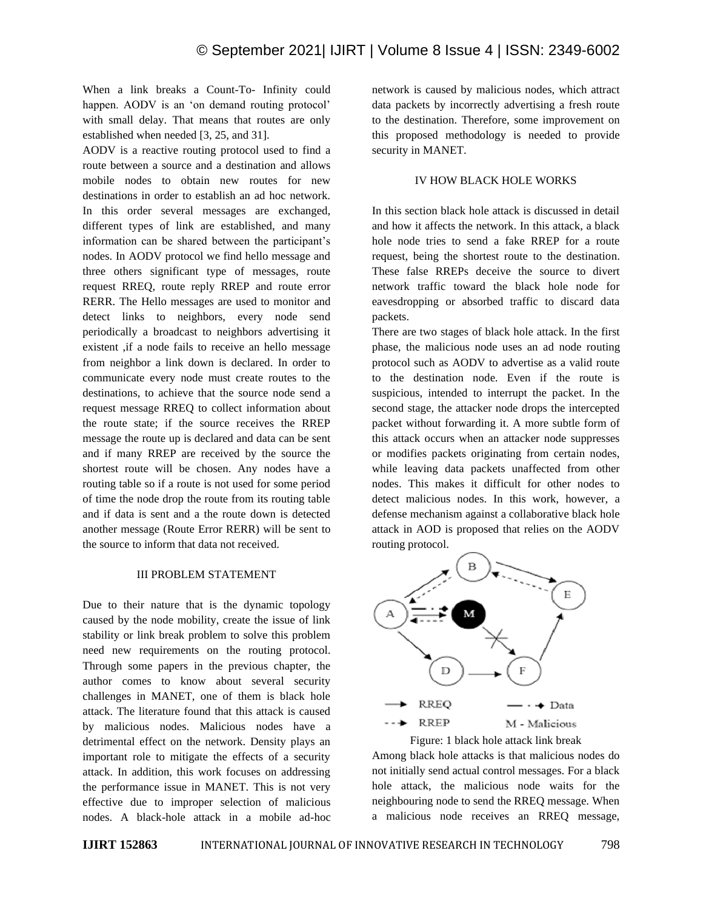When a link breaks a Count-To- Infinity could happen. AODV is an 'on demand routing protocol' with small delay. That means that routes are only established when needed [3, 25, and 31].

AODV is a reactive routing protocol used to find a route between a source and a destination and allows mobile nodes to obtain new routes for new destinations in order to establish an ad hoc network. In this order several messages are exchanged, different types of link are established, and many information can be shared between the participant's nodes. In AODV protocol we find hello message and three others significant type of messages, route request RREQ, route reply RREP and route error RERR. The Hello messages are used to monitor and detect links to neighbors, every node send periodically a broadcast to neighbors advertising it existent ,if a node fails to receive an hello message from neighbor a link down is declared. In order to communicate every node must create routes to the destinations, to achieve that the source node send a request message RREQ to collect information about the route state; if the source receives the RREP message the route up is declared and data can be sent and if many RREP are received by the source the shortest route will be chosen. Any nodes have a routing table so if a route is not used for some period of time the node drop the route from its routing table and if data is sent and a the route down is detected another message (Route Error RERR) will be sent to the source to inform that data not received.

#### III PROBLEM STATEMENT

Due to their nature that is the dynamic topology caused by the node mobility, create the issue of link stability or link break problem to solve this problem need new requirements on the routing protocol. Through some papers in the previous chapter, the author comes to know about several security challenges in MANET, one of them is black hole attack. The literature found that this attack is caused by malicious nodes. Malicious nodes have a detrimental effect on the network. Density plays an important role to mitigate the effects of a security attack. In addition, this work focuses on addressing the performance issue in MANET. This is not very effective due to improper selection of malicious nodes. A black-hole attack in a mobile ad-hoc network is caused by malicious nodes, which attract data packets by incorrectly advertising a fresh route to the destination. Therefore, some improvement on this proposed methodology is needed to provide security in MANET.

# IV HOW BLACK HOLE WORKS

In this section black hole attack is discussed in detail and how it affects the network. In this attack, a black hole node tries to send a fake RREP for a route request, being the shortest route to the destination. These false RREPs deceive the source to divert network traffic toward the black hole node for eavesdropping or absorbed traffic to discard data packets.

There are two stages of black hole attack. In the first phase, the malicious node uses an ad node routing protocol such as AODV to advertise as a valid route to the destination node. Even if the route is suspicious, intended to interrupt the packet. In the second stage, the attacker node drops the intercepted packet without forwarding it. A more subtle form of this attack occurs when an attacker node suppresses or modifies packets originating from certain nodes, while leaving data packets unaffected from other nodes. This makes it difficult for other nodes to detect malicious nodes. In this work, however, a defense mechanism against a collaborative black hole attack in AOD is proposed that relies on the AODV routing protocol.



Among black hole attacks is that malicious nodes do not initially send actual control messages. For a black hole attack, the malicious node waits for the neighbouring node to send the RREQ message. When a malicious node receives an RREQ message,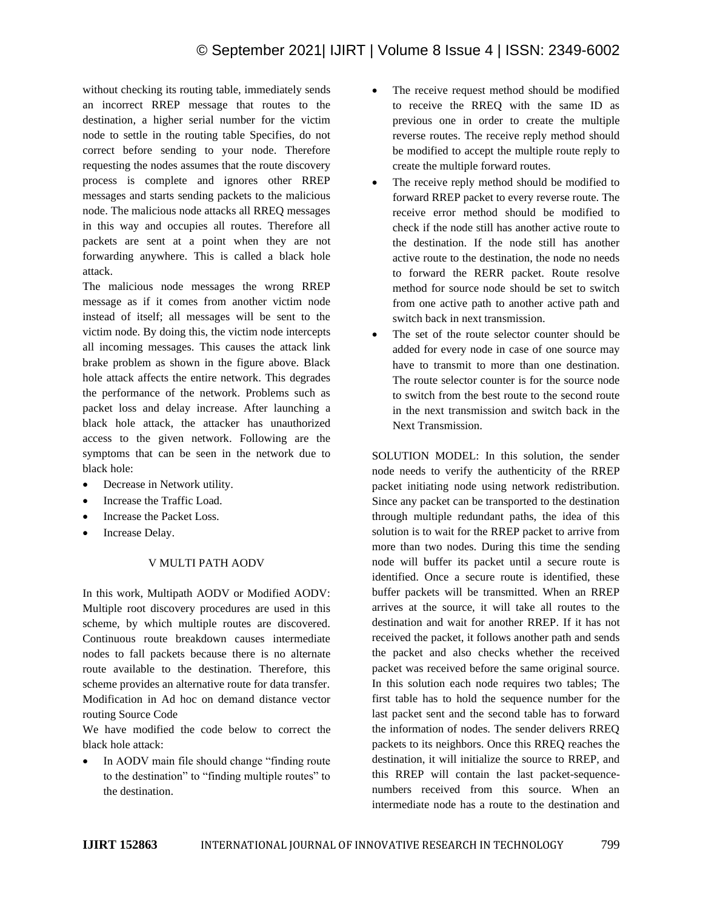without checking its routing table, immediately sends an incorrect RREP message that routes to the destination, a higher serial number for the victim node to settle in the routing table Specifies, do not correct before sending to your node. Therefore requesting the nodes assumes that the route discovery process is complete and ignores other RREP messages and starts sending packets to the malicious node. The malicious node attacks all RREQ messages in this way and occupies all routes. Therefore all packets are sent at a point when they are not forwarding anywhere. This is called a black hole attack.

The malicious node messages the wrong RREP message as if it comes from another victim node instead of itself; all messages will be sent to the victim node. By doing this, the victim node intercepts all incoming messages. This causes the attack link brake problem as shown in the figure above. Black hole attack affects the entire network. This degrades the performance of the network. Problems such as packet loss and delay increase. After launching a black hole attack, the attacker has unauthorized access to the given network. Following are the symptoms that can be seen in the network due to black hole:

- Decrease in Network utility.
- Increase the Traffic Load.
- Increase the Packet Loss.
- Increase Delay.

# V MULTI PATH AODV

In this work, Multipath AODV or Modified AODV: Multiple root discovery procedures are used in this scheme, by which multiple routes are discovered. Continuous route breakdown causes intermediate nodes to fall packets because there is no alternate route available to the destination. Therefore, this scheme provides an alternative route for data transfer. Modification in Ad hoc on demand distance vector routing Source Code

We have modified the code below to correct the black hole attack:

In AODV main file should change "finding route to the destination" to "finding multiple routes" to the destination.

- The receive request method should be modified to receive the RREQ with the same ID as previous one in order to create the multiple reverse routes. The receive reply method should be modified to accept the multiple route reply to create the multiple forward routes.
- The receive reply method should be modified to forward RREP packet to every reverse route. The receive error method should be modified to check if the node still has another active route to the destination. If the node still has another active route to the destination, the node no needs to forward the RERR packet. Route resolve method for source node should be set to switch from one active path to another active path and switch back in next transmission.
- The set of the route selector counter should be added for every node in case of one source may have to transmit to more than one destination. The route selector counter is for the source node to switch from the best route to the second route in the next transmission and switch back in the Next Transmission.

SOLUTION MODEL: In this solution, the sender node needs to verify the authenticity of the RREP packet initiating node using network redistribution. Since any packet can be transported to the destination through multiple redundant paths, the idea of this solution is to wait for the RREP packet to arrive from more than two nodes. During this time the sending node will buffer its packet until a secure route is identified. Once a secure route is identified, these buffer packets will be transmitted. When an RREP arrives at the source, it will take all routes to the destination and wait for another RREP. If it has not received the packet, it follows another path and sends the packet and also checks whether the received packet was received before the same original source. In this solution each node requires two tables; The first table has to hold the sequence number for the last packet sent and the second table has to forward the information of nodes. The sender delivers RREQ packets to its neighbors. Once this RREQ reaches the destination, it will initialize the source to RREP, and this RREP will contain the last packet-sequencenumbers received from this source. When an intermediate node has a route to the destination and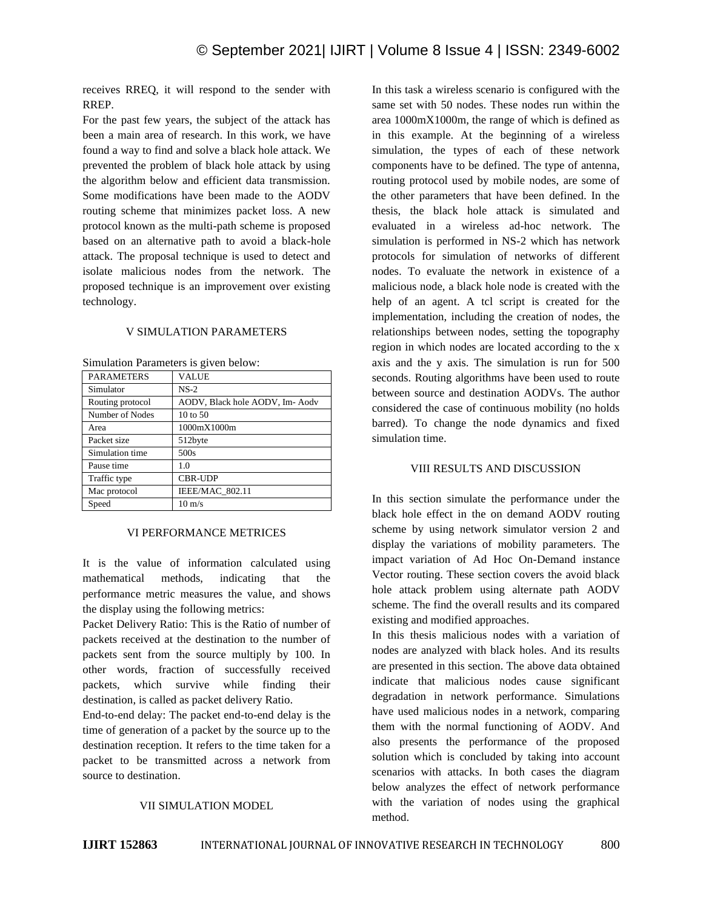receives RREQ, it will respond to the sender with RREP.

For the past few years, the subject of the attack has been a main area of research. In this work, we have found a way to find and solve a black hole attack. We prevented the problem of black hole attack by using the algorithm below and efficient data transmission. Some modifications have been made to the AODV routing scheme that minimizes packet loss. A new protocol known as the multi-path scheme is proposed based on an alternative path to avoid a black-hole attack. The proposal technique is used to detect and isolate malicious nodes from the network. The proposed technique is an improvement over existing technology.

# V SIMULATION PARAMETERS

Simulation Parameters is given below:

| <b>PARAMETERS</b> | <b>VALUE</b>                   |
|-------------------|--------------------------------|
| Simulator         | $NS-2$                         |
| Routing protocol  | AODV, Black hole AODV, Im-Aodv |
| Number of Nodes   | 10 to 50                       |
| Area              | 1000mX1000m                    |
| Packet size       | 512byte                        |
| Simulation time   | 500s                           |
| Pause time        | 1.0                            |
| Traffic type      | <b>CBR-UDP</b>                 |
| Mac protocol      | <b>IEEE/MAC 802.11</b>         |
| Speed             | $10 \text{ m/s}$               |

#### VI PERFORMANCE METRICES

It is the value of information calculated using mathematical methods, indicating that the performance metric measures the value, and shows the display using the following metrics:

Packet Delivery Ratio: This is the Ratio of number of packets received at the destination to the number of packets sent from the source multiply by 100. In other words, fraction of successfully received packets, which survive while finding their destination, is called as packet delivery Ratio.

End-to-end delay: The packet end-to-end delay is the time of generation of a packet by the source up to the destination reception. It refers to the time taken for a packet to be transmitted across a network from source to destination.

#### VII SIMULATION MODEL

In this task a wireless scenario is configured with the same set with 50 nodes. These nodes run within the area 1000mX1000m, the range of which is defined as in this example. At the beginning of a wireless simulation, the types of each of these network components have to be defined. The type of antenna, routing protocol used by mobile nodes, are some of the other parameters that have been defined. In the thesis, the black hole attack is simulated and evaluated in a wireless ad-hoc network. The simulation is performed in NS-2 which has network protocols for simulation of networks of different nodes. To evaluate the network in existence of a malicious node, a black hole node is created with the help of an agent. A tcl script is created for the implementation, including the creation of nodes, the relationships between nodes, setting the topography region in which nodes are located according to the x axis and the y axis. The simulation is run for 500 seconds. Routing algorithms have been used to route between source and destination AODVs. The author considered the case of continuous mobility (no holds barred). To change the node dynamics and fixed simulation time.

#### VIII RESULTS AND DISCUSSION

In this section simulate the performance under the black hole effect in the on demand AODV routing scheme by using network simulator version 2 and display the variations of mobility parameters. The impact variation of Ad Hoc On-Demand instance Vector routing. These section covers the avoid black hole attack problem using alternate path AODV scheme. The find the overall results and its compared existing and modified approaches.

In this thesis malicious nodes with a variation of nodes are analyzed with black holes. And its results are presented in this section. The above data obtained indicate that malicious nodes cause significant degradation in network performance. Simulations have used malicious nodes in a network, comparing them with the normal functioning of AODV. And also presents the performance of the proposed solution which is concluded by taking into account scenarios with attacks. In both cases the diagram below analyzes the effect of network performance with the variation of nodes using the graphical method.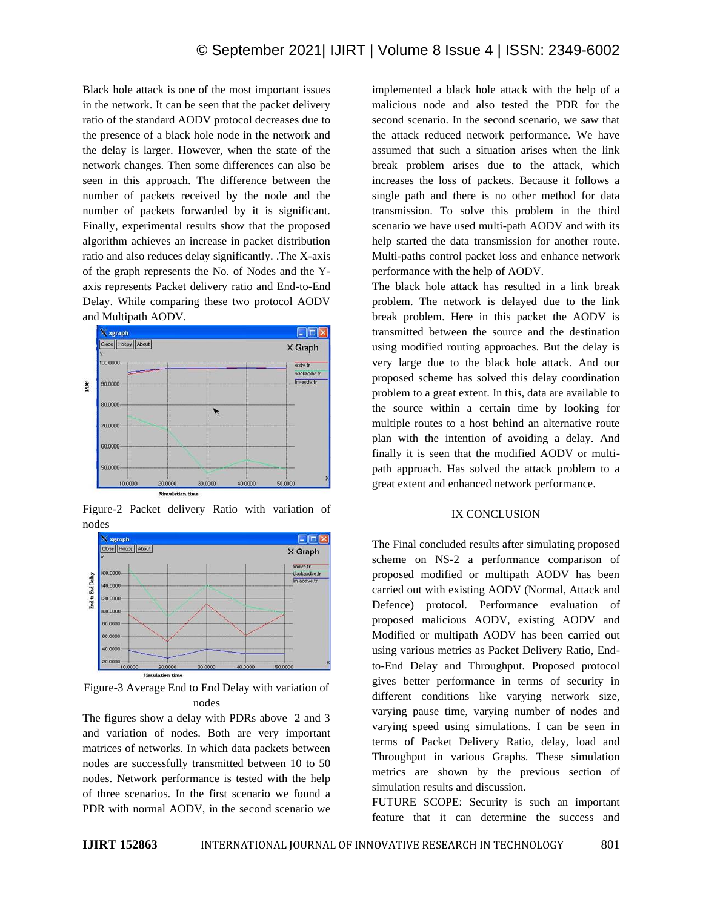Black hole attack is one of the most important issues in the network. It can be seen that the packet delivery ratio of the standard AODV protocol decreases due to the presence of a black hole node in the network and the delay is larger. However, when the state of the network changes. Then some differences can also be seen in this approach. The difference between the number of packets received by the node and the number of packets forwarded by it is significant. Finally, experimental results show that the proposed algorithm achieves an increase in packet distribution ratio and also reduces delay significantly. .The X-axis of the graph represents the No. of Nodes and the Yaxis represents Packet delivery ratio and End-to-End Delay. While comparing these two protocol AODV and Multipath AODV.



Figure-2 Packet delivery Ratio with variation of nodes



Figure-3 Average End to End Delay with variation of nodes

The figures show a delay with PDRs above 2 and 3 and variation of nodes. Both are very important matrices of networks. In which data packets between nodes are successfully transmitted between 10 to 50 nodes. Network performance is tested with the help of three scenarios. In the first scenario we found a PDR with normal AODV, in the second scenario we

implemented a black hole attack with the help of a malicious node and also tested the PDR for the second scenario. In the second scenario, we saw that the attack reduced network performance. We have assumed that such a situation arises when the link break problem arises due to the attack, which increases the loss of packets. Because it follows a single path and there is no other method for data transmission. To solve this problem in the third scenario we have used multi-path AODV and with its help started the data transmission for another route. Multi-paths control packet loss and enhance network performance with the help of AODV.

The black hole attack has resulted in a link break problem. The network is delayed due to the link break problem. Here in this packet the AODV is transmitted between the source and the destination using modified routing approaches. But the delay is very large due to the black hole attack. And our proposed scheme has solved this delay coordination problem to a great extent. In this, data are available to the source within a certain time by looking for multiple routes to a host behind an alternative route plan with the intention of avoiding a delay. And finally it is seen that the modified AODV or multipath approach. Has solved the attack problem to a great extent and enhanced network performance.

#### IX CONCLUSION

The Final concluded results after simulating proposed scheme on NS-2 a performance comparison of proposed modified or multipath AODV has been carried out with existing AODV (Normal, Attack and Defence) protocol. Performance evaluation of proposed malicious AODV, existing AODV and Modified or multipath AODV has been carried out using various metrics as Packet Delivery Ratio, Endto-End Delay and Throughput. Proposed protocol gives better performance in terms of security in different conditions like varying network size, varying pause time, varying number of nodes and varying speed using simulations. I can be seen in terms of Packet Delivery Ratio, delay, load and Throughput in various Graphs. These simulation metrics are shown by the previous section of simulation results and discussion.

FUTURE SCOPE: Security is such an important feature that it can determine the success and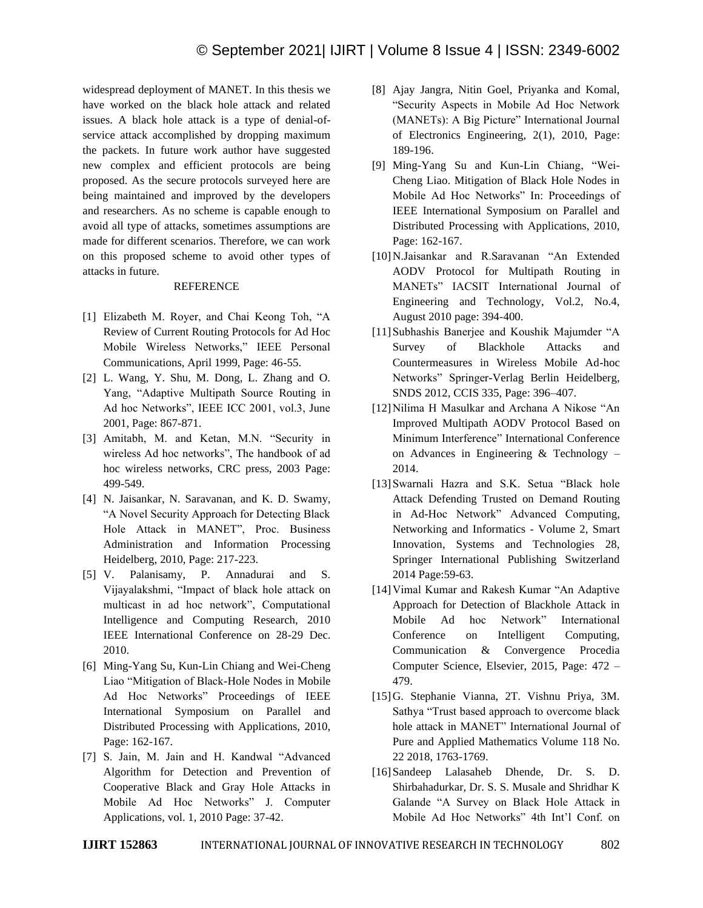widespread deployment of MANET. In this thesis we have worked on the black hole attack and related issues. A black hole attack is a type of denial-ofservice attack accomplished by dropping maximum the packets. In future work author have suggested new complex and efficient protocols are being proposed. As the secure protocols surveyed here are being maintained and improved by the developers and researchers. As no scheme is capable enough to avoid all type of attacks, sometimes assumptions are made for different scenarios. Therefore, we can work on this proposed scheme to avoid other types of attacks in future.

# REFERENCE

- [1] Elizabeth M. Royer, and Chai Keong Toh, "A Review of Current Routing Protocols for Ad Hoc Mobile Wireless Networks," IEEE Personal Communications, April 1999, Page: 46-55.
- [2] L. Wang, Y. Shu, M. Dong, L. Zhang and O. Yang, "Adaptive Multipath Source Routing in Ad hoc Networks", IEEE ICC 2001, vol.3, June 2001, Page: 867-871.
- [3] Amitabh, M. and Ketan, M.N. "Security in wireless Ad hoc networks", The handbook of ad hoc wireless networks, CRC press, 2003 Page: 499-549.
- [4] N. Jaisankar, N. Saravanan, and K. D. Swamy, "A Novel Security Approach for Detecting Black Hole Attack in MANET", Proc. Business Administration and Information Processing Heidelberg, 2010, Page: 217-223.
- [5] V. Palanisamy, P. Annadurai and S. Vijayalakshmi, "Impact of black hole attack on multicast in ad hoc network", Computational Intelligence and Computing Research, 2010 IEEE International Conference on 28-29 Dec. 2010.
- [6] Ming-Yang Su, Kun-Lin Chiang and Wei-Cheng Liao "Mitigation of Black-Hole Nodes in Mobile Ad Hoc Networks" Proceedings of IEEE International Symposium on Parallel and Distributed Processing with Applications, 2010, Page: 162-167.
- [7] S. Jain, M. Jain and H. Kandwal "Advanced Algorithm for Detection and Prevention of Cooperative Black and Gray Hole Attacks in Mobile Ad Hoc Networks" J. Computer Applications, vol. 1, 2010 Page: 37-42.
- [8] Ajay Jangra, Nitin Goel, Priyanka and Komal, "Security Aspects in Mobile Ad Hoc Network (MANETs): A Big Picture" International Journal of Electronics Engineering, 2(1), 2010, Page: 189-196.
- [9] Ming-Yang Su and Kun-Lin Chiang, "Wei-Cheng Liao. Mitigation of Black Hole Nodes in Mobile Ad Hoc Networks" In: Proceedings of IEEE International Symposium on Parallel and Distributed Processing with Applications, 2010, Page: 162-167.
- [10]N.Jaisankar and R.Saravanan "An Extended AODV Protocol for Multipath Routing in MANETs" IACSIT International Journal of Engineering and Technology, Vol.2, No.4, August 2010 page: 394-400.
- [11]Subhashis Banerjee and Koushik Majumder "A Survey of Blackhole Attacks and Countermeasures in Wireless Mobile Ad-hoc Networks" Springer-Verlag Berlin Heidelberg, SNDS 2012, CCIS 335, Page: 396–407.
- [12]Nilima H Masulkar and Archana A Nikose "An Improved Multipath AODV Protocol Based on Minimum Interference" International Conference on Advances in Engineering & Technology – 2014.
- [13] Swarnali Hazra and S.K. Setua "Black hole Attack Defending Trusted on Demand Routing in Ad-Hoc Network" Advanced Computing, Networking and Informatics - Volume 2, Smart Innovation, Systems and Technologies 28, Springer International Publishing Switzerland 2014 Page:59-63.
- [14]Vimal Kumar and Rakesh Kumar "An Adaptive Approach for Detection of Blackhole Attack in Mobile Ad hoc Network" International Conference on Intelligent Computing, Communication & Convergence Procedia Computer Science, Elsevier, 2015, Page: 472 – 479.
- [15]G. Stephanie Vianna, 2T. Vishnu Priya, 3M. Sathya "Trust based approach to overcome black hole attack in MANET" International Journal of Pure and Applied Mathematics Volume 118 No. 22 2018, 1763-1769.
- [16]Sandeep Lalasaheb Dhende, Dr. S. D. Shirbahadurkar, Dr. S. S. Musale and Shridhar K Galande "A Survey on Black Hole Attack in Mobile Ad Hoc Networks" 4th Int'l Conf. on